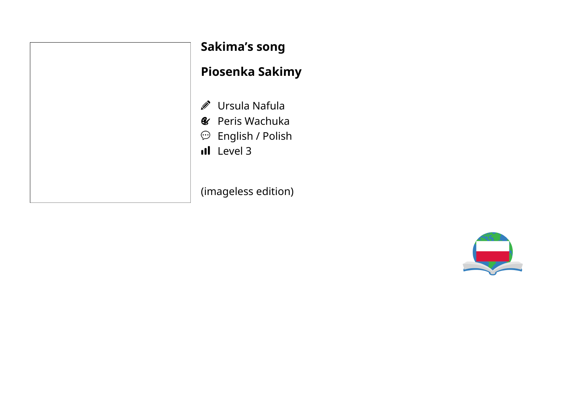| Sakima                                                     |
|------------------------------------------------------------|
| <b>Piosen</b>                                              |
| Ø<br>Ursu<br>& Peris<br>$\odot$<br>Engl<br><b>III</b> Leve |
| (imagele                                                   |

### **Sakima's song**

## **Piosenka Sakimy**

- ula Nafula
- s Wachuka
- lish / Polish
- $\geq$ l

ess edition)

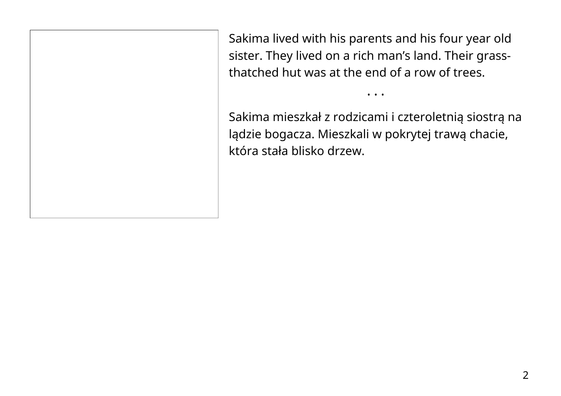Sakima lived with his parents and his four year old sister. They lived on a rich man's land. Their grassthatched hut was at the end of a row of trees.

Sakima mieszkał z rodzicami i czteroletnią siostrą na lądzie bogacza. Mieszkali w pokrytej trawą chacie, która stała blisko drzew.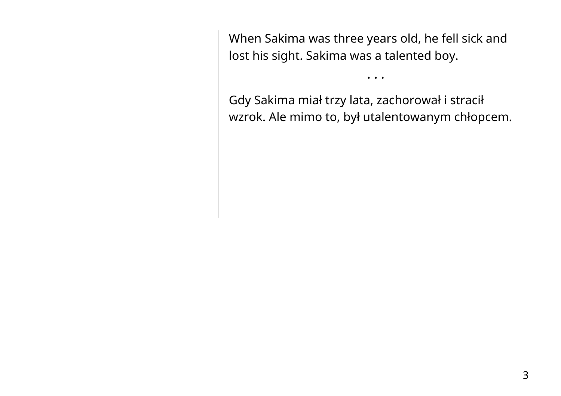When Sakima was three years old, he fell sick and lost his sight. Sakima was a talented boy.

Gdy Sakima miał trzy lata, zachorował i stracił wzrok. Ale mimo to, był utalentowanym chłopcem.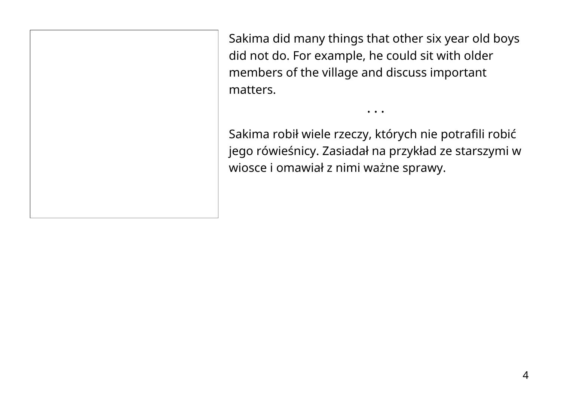Sakima did many things that other six year old boys did not do. For example, he could sit with older members of the village and discuss important matters.

Sakima robił wiele rzeczy, których nie potrafili robić jego rówieśnicy. Zasiadał na przykład ze starszymi w wiosce i omawiał z nimi ważne sprawy.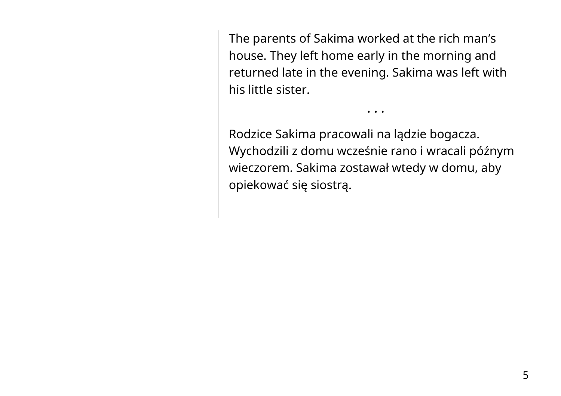The parents of Sakima worked at the rich man's house. They left home early in the morning and returned late in the evening. Sakima was left with his little sister.

Rodzice Sakima pracowali na lądzie bogacza. Wychodzili z domu wcześnie rano i wracali późnym wieczorem. Sakima zostawał wtedy w domu, aby opiekować się siostrą.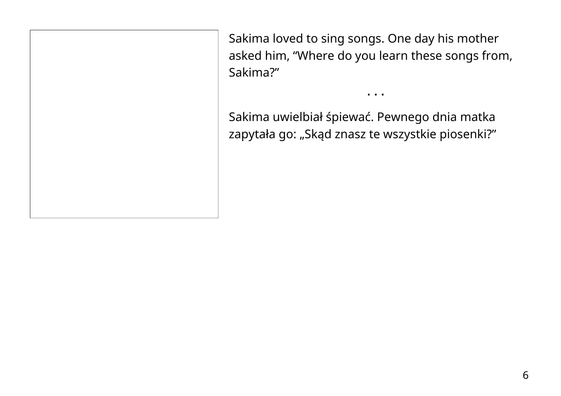Sakima loved to sing songs. One day his mother asked him, "Where do you learn these songs from, Sakima?"

• • •

Sakima uwielbiał śpiewać. Pewnego dnia matka zapytała go: "Skąd znasz te wszystkie piosenki?"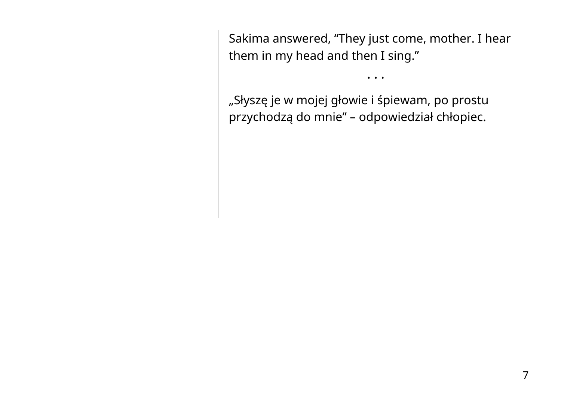Sakima answered, "They just come, mother. I hear them in my head and then I sing."

• • •

"Słyszę je w mojej głowie i śpiewam, po prostu przychodzą do mnie" – odpowiedział chłopiec.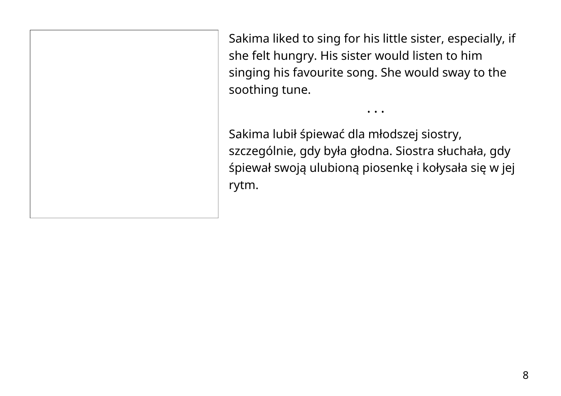Sakima liked to sing for his little sister, especially, if she felt hungry. His sister would listen to him singing his favourite song. She would sway to the soothing tune.

• • •

Sakima lubił śpiewać dla młodszej siostry, szczególnie, gdy była głodna. Siostra słuchała, gdy śpiewał swoją ulubioną piosenkę i kołysała się w jej rytm.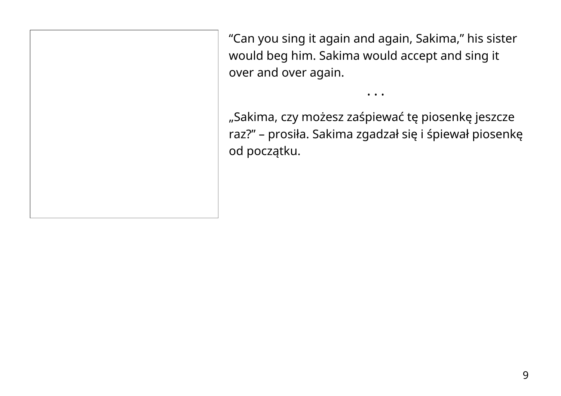"Can you sing it again and again, Sakima," his sister would beg him. Sakima would accept and sing it over and over again.

• • •

"Sakima, czy możesz zaśpiewać tę piosenkę jeszcze raz?" – prosiła. Sakima zgadzał się i śpiewał piosenkę od początku.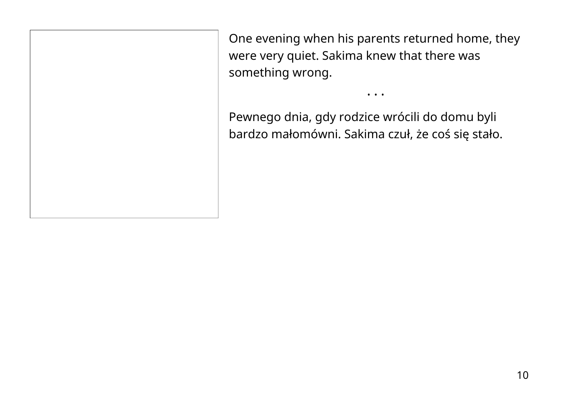One evening when his parents returned home, they were very quiet. Sakima knew that there was something wrong.

• • •

Pewnego dnia, gdy rodzice wrócili do domu byli bardzo małomówni. Sakima czuł, że coś się stało.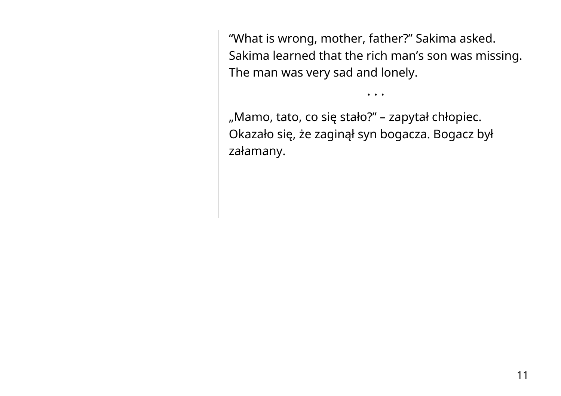"What is wrong, mother, father?" Sakima asked. Sakima learned that the rich man's son was missing. The man was very sad and lonely.

• • •

"Mamo, tato, co się stało?" – zapytał chłopiec. Okazało się, że zaginął syn bogacza. Bogacz był załamany.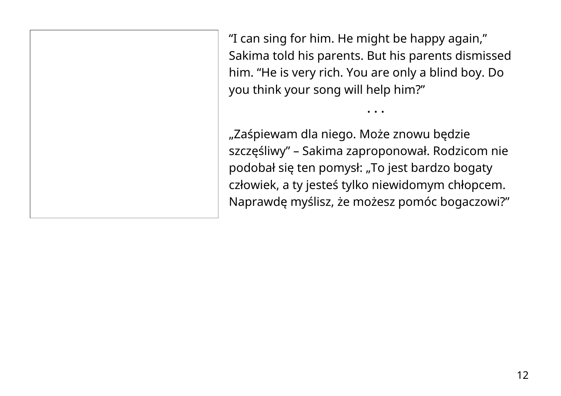"I can sing for him. He might be happy again," Sakima told his parents. But his parents dismissed him. "He is very rich. You are only a blind boy. Do you think your song will help him?"

• • •

"Zaśpiewam dla niego. Może znowu będzie szczęśliwy" – Sakima zaproponował. Rodzicom nie podobał się ten pomysł: "To jest bardzo bogaty człowiek, a ty jesteś tylko niewidomym chłopcem. Naprawdę myślisz, że możesz pomóc bogaczowi?"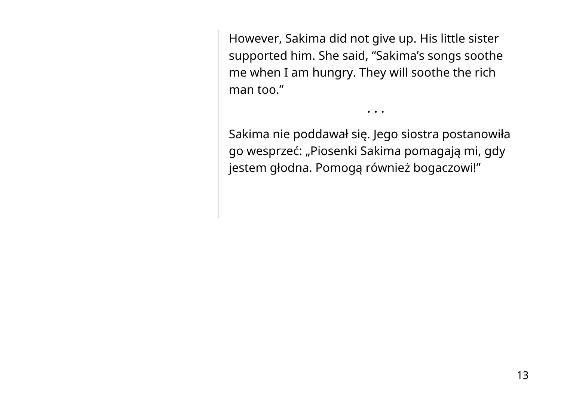However, Sakima did not give up. His little sister supported him. She said, "Sakima's songs soothe me when I am hungry. They will soothe the rich man too."

Sakima nie poddawał się. Jego siostra postanowiła go wesprzeć: "Piosenki Sakima pomagają mi, gdy jestem głodna. Pomogą również bogaczowi!"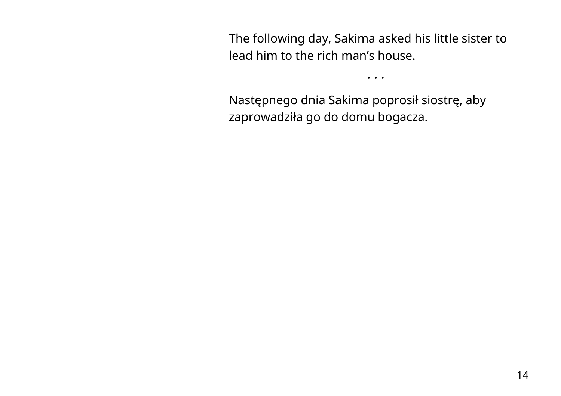The following day, Sakima asked his little sister to lead him to the rich man's house.

• • •

Następnego dnia Sakima poprosił siostrę, aby zaprowadziła go do domu bogacza.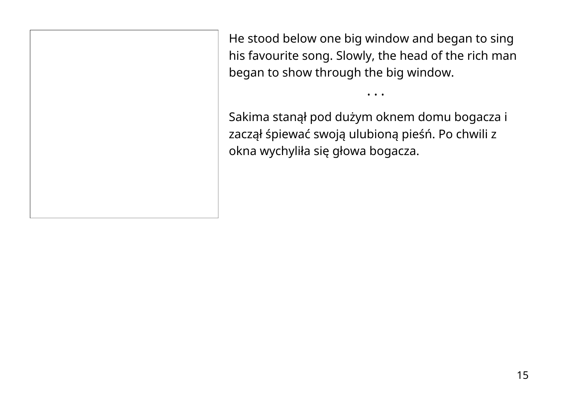He stood below one big window and began to sing his favourite song. Slowly, the head of the rich man began to show through the big window.

• • •

Sakima stanął pod dużym oknem domu bogacza i zaczął śpiewać swoją ulubioną pieśń. Po chwili z okna wychyliła się głowa bogacza.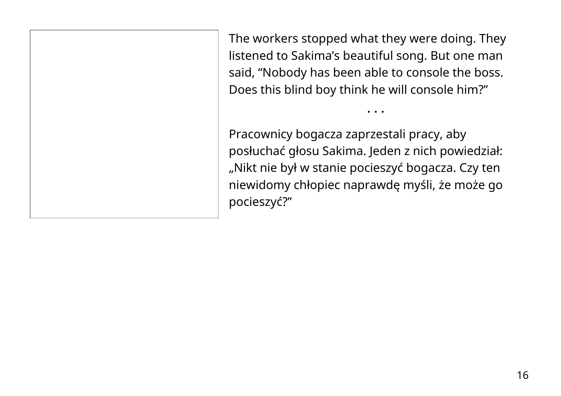The workers stopped what they were doing. They listened to Sakima's beautiful song. But one man said, "Nobody has been able to console the boss. Does this blind boy think he will console him?"

• • •

Pracownicy bogacza zaprzestali pracy, aby posłuchać głosu Sakima. Jeden z nich powiedział: "Nikt nie był w stanie pocieszyć bogacza. Czy ten niewidomy chłopiec naprawdę myśli, że może go pocieszyć?"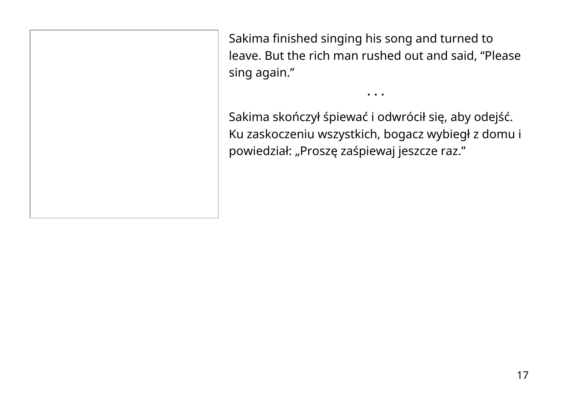Sakima finished singing his song and turned to leave. But the rich man rushed out and said, "Please sing again."

• • •

Sakima skończył śpiewać i odwrócił się, aby odejść. Ku zaskoczeniu wszystkich, bogacz wybiegł z domu i powiedział: "Proszę zaśpiewaj jeszcze raz."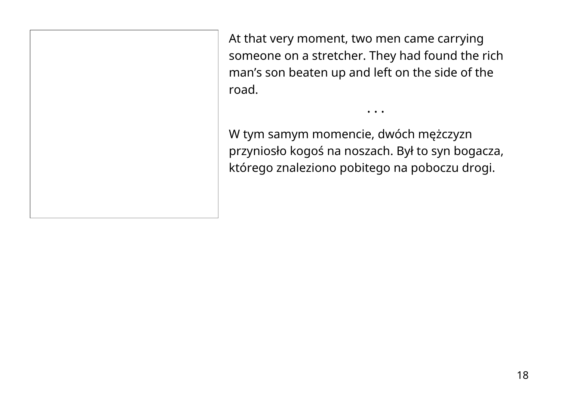At that very moment, two men came carrying someone on a stretcher. They had found the rich man's son beaten up and left on the side of the road.

• • •

W tym samym momencie, dwóch mężczyzn przyniosło kogoś na noszach. Był to syn bogacza, którego znaleziono pobitego na poboczu drogi.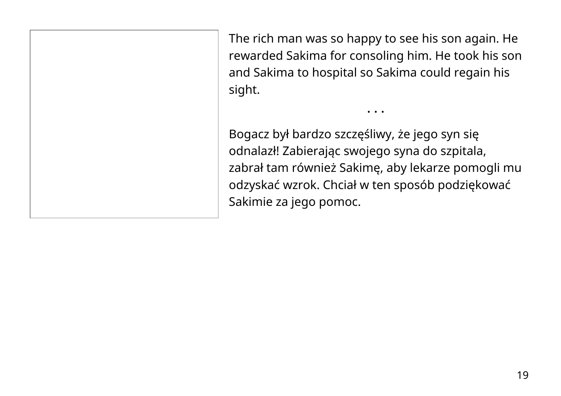The rich man was so happy to see his son again. He rewarded Sakima for consoling him. He took his son and Sakima to hospital so Sakima could regain his sight.

• • •

Bogacz był bardzo szczęśliwy, że jego syn się odnalazł! Zabierając swojego syna do szpitala, zabrał tam również Sakimę, aby lekarze pomogli mu odzyskać wzrok. Chciał w ten sposób podziękować Sakimie za jego pomoc.